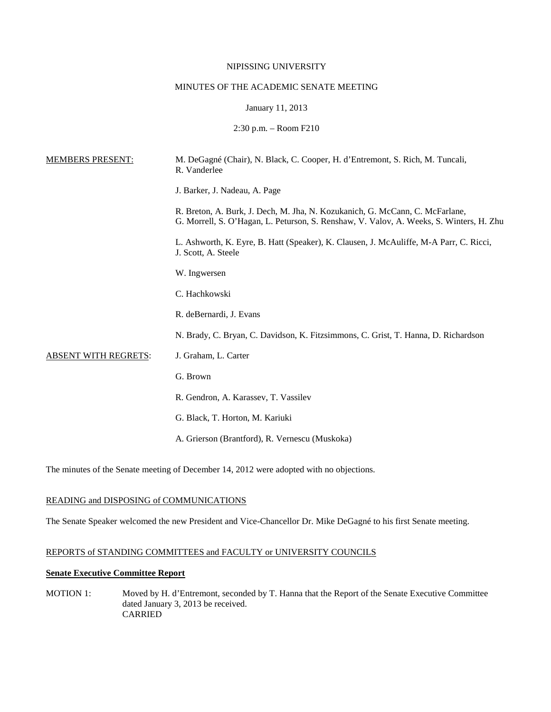#### NIPISSING UNIVERSITY

#### MINUTES OF THE ACADEMIC SENATE MEETING

#### January 11, 2013

2:30 p.m. – Room F210

| <b>MEMBERS PRESENT:</b> | M. DeGagné (Chair), N. Black, C. Cooper, H. d'Entremont, S. Rich, M. Tuncali,<br>R. Vanderlee                                                                           |
|-------------------------|-------------------------------------------------------------------------------------------------------------------------------------------------------------------------|
|                         | J. Barker, J. Nadeau, A. Page                                                                                                                                           |
|                         | R. Breton, A. Burk, J. Dech, M. Jha, N. Kozukanich, G. McCann, C. McFarlane,<br>G. Morrell, S. O'Hagan, L. Peturson, S. Renshaw, V. Valov, A. Weeks, S. Winters, H. Zhu |
|                         | L. Ashworth, K. Eyre, B. Hatt (Speaker), K. Clausen, J. McAuliffe, M-A Parr, C. Ricci,<br>J. Scott, A. Steele                                                           |
|                         | W. Ingwersen                                                                                                                                                            |
|                         | C. Hachkowski                                                                                                                                                           |
|                         | R. deBernardi, J. Evans                                                                                                                                                 |
|                         | N. Brady, C. Bryan, C. Davidson, K. Fitzsimmons, C. Grist, T. Hanna, D. Richardson                                                                                      |
| ABSENT WITH REGRETS:    | J. Graham, L. Carter                                                                                                                                                    |
|                         | G. Brown                                                                                                                                                                |
|                         | R. Gendron, A. Karassev, T. Vassilev                                                                                                                                    |
|                         | G. Black, T. Horton, M. Kariuki                                                                                                                                         |
|                         | A. Grierson (Brantford), R. Vernescu (Muskoka)                                                                                                                          |
|                         |                                                                                                                                                                         |

The minutes of the Senate meeting of December 14, 2012 were adopted with no objections.

## READING and DISPOSING of COMMUNICATIONS

The Senate Speaker welcomed the new President and Vice-Chancellor Dr. Mike DeGagné to his first Senate meeting.

## REPORTS of STANDING COMMITTEES and FACULTY or UNIVERSITY COUNCILS

# **Senate Executive Committee Report**

MOTION 1: Moved by H. d'Entremont, seconded by T. Hanna that the Report of the Senate Executive Committee dated January 3, 2013 be received. CARRIED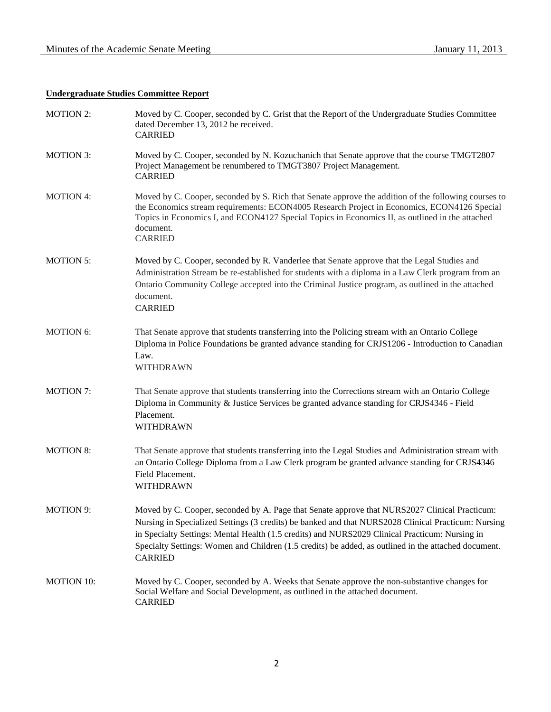# **Undergraduate Studies Committee Report**

| <b>MOTION 2:</b>  | Moved by C. Cooper, seconded by C. Grist that the Report of the Undergraduate Studies Committee<br>dated December 13, 2012 be received.<br><b>CARRIED</b>                                                                                                                                                                                                                                                                        |
|-------------------|----------------------------------------------------------------------------------------------------------------------------------------------------------------------------------------------------------------------------------------------------------------------------------------------------------------------------------------------------------------------------------------------------------------------------------|
| <b>MOTION 3:</b>  | Moved by C. Cooper, seconded by N. Kozuchanich that Senate approve that the course TMGT2807<br>Project Management be renumbered to TMGT3807 Project Management.<br><b>CARRIED</b>                                                                                                                                                                                                                                                |
| <b>MOTION 4:</b>  | Moved by C. Cooper, seconded by S. Rich that Senate approve the addition of the following courses to<br>the Economics stream requirements: ECON4005 Research Project in Economics, ECON4126 Special<br>Topics in Economics I, and ECON4127 Special Topics in Economics II, as outlined in the attached<br>document.<br><b>CARRIED</b>                                                                                            |
| <b>MOTION 5:</b>  | Moved by C. Cooper, seconded by R. Vanderlee that Senate approve that the Legal Studies and<br>Administration Stream be re-established for students with a diploma in a Law Clerk program from an<br>Ontario Community College accepted into the Criminal Justice program, as outlined in the attached<br>document.<br><b>CARRIED</b>                                                                                            |
| <b>MOTION 6:</b>  | That Senate approve that students transferring into the Policing stream with an Ontario College<br>Diploma in Police Foundations be granted advance standing for CRJS1206 - Introduction to Canadian<br>Law.<br>WITHDRAWN                                                                                                                                                                                                        |
| <b>MOTION 7:</b>  | That Senate approve that students transferring into the Corrections stream with an Ontario College<br>Diploma in Community & Justice Services be granted advance standing for CRJS4346 - Field<br>Placement.<br>WITHDRAWN                                                                                                                                                                                                        |
| <b>MOTION 8:</b>  | That Senate approve that students transferring into the Legal Studies and Administration stream with<br>an Ontario College Diploma from a Law Clerk program be granted advance standing for CRJS4346<br>Field Placement.<br>WITHDRAWN                                                                                                                                                                                            |
| <b>MOTION 9:</b>  | Moved by C. Cooper, seconded by A. Page that Senate approve that NURS2027 Clinical Practicum:<br>Nursing in Specialized Settings (3 credits) be banked and that NURS2028 Clinical Practicum: Nursing<br>in Specialty Settings: Mental Health (1.5 credits) and NURS2029 Clinical Practicum: Nursing in<br>Specialty Settings: Women and Children (1.5 credits) be added, as outlined in the attached document.<br><b>CARRIED</b> |
| <b>MOTION 10:</b> | Moved by C. Cooper, seconded by A. Weeks that Senate approve the non-substantive changes for<br>Social Welfare and Social Development, as outlined in the attached document.<br><b>CARRIED</b>                                                                                                                                                                                                                                   |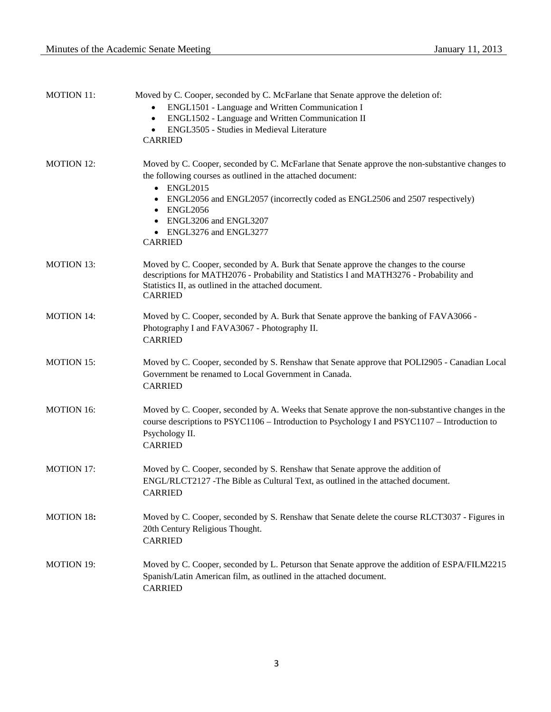| <b>MOTION 11:</b> | Moved by C. Cooper, seconded by C. McFarlane that Senate approve the deletion of:<br>ENGL1501 - Language and Written Communication I<br>ENGL1502 - Language and Written Communication II<br>$\bullet$<br>ENGL3505 - Studies in Medieval Literature<br>$\bullet$<br><b>CARRIED</b>                                                                                         |
|-------------------|---------------------------------------------------------------------------------------------------------------------------------------------------------------------------------------------------------------------------------------------------------------------------------------------------------------------------------------------------------------------------|
| <b>MOTION 12:</b> | Moved by C. Cooper, seconded by C. McFarlane that Senate approve the non-substantive changes to<br>the following courses as outlined in the attached document:<br>$\bullet$ ENGL2015<br>ENGL2056 and ENGL2057 (incorrectly coded as ENGL2506 and 2507 respectively)<br><b>ENGL2056</b><br>$\bullet$<br>ENGL3206 and ENGL3207<br>• ENGL3276 and ENGL3277<br><b>CARRIED</b> |
| <b>MOTION 13:</b> | Moved by C. Cooper, seconded by A. Burk that Senate approve the changes to the course<br>descriptions for MATH2076 - Probability and Statistics I and MATH3276 - Probability and<br>Statistics II, as outlined in the attached document.<br><b>CARRIED</b>                                                                                                                |
| <b>MOTION 14:</b> | Moved by C. Cooper, seconded by A. Burk that Senate approve the banking of FAVA3066 -<br>Photography I and FAVA3067 - Photography II.<br><b>CARRIED</b>                                                                                                                                                                                                                   |
| <b>MOTION 15:</b> | Moved by C. Cooper, seconded by S. Renshaw that Senate approve that POLI2905 - Canadian Local<br>Government be renamed to Local Government in Canada.<br><b>CARRIED</b>                                                                                                                                                                                                   |
| <b>MOTION 16:</b> | Moved by C. Cooper, seconded by A. Weeks that Senate approve the non-substantive changes in the<br>course descriptions to PSYC1106 - Introduction to Psychology I and PSYC1107 - Introduction to<br>Psychology II.<br><b>CARRIED</b>                                                                                                                                      |
| <b>MOTION 17:</b> | Moved by C. Cooper, seconded by S. Renshaw that Senate approve the addition of<br>ENGL/RLCT2127 -The Bible as Cultural Text, as outlined in the attached document.<br><b>CARRIED</b>                                                                                                                                                                                      |
| <b>MOTION 18:</b> | Moved by C. Cooper, seconded by S. Renshaw that Senate delete the course RLCT3037 - Figures in<br>20th Century Religious Thought.<br><b>CARRIED</b>                                                                                                                                                                                                                       |
| <b>MOTION 19:</b> | Moved by C. Cooper, seconded by L. Peturson that Senate approve the addition of ESPA/FILM2215<br>Spanish/Latin American film, as outlined in the attached document.<br><b>CARRIED</b>                                                                                                                                                                                     |